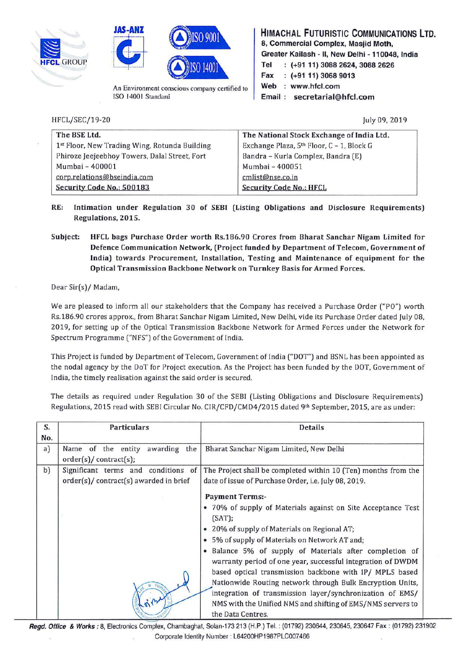





An Environment conscious company certified to ISO 14001 Standard

**HIMACHAL FUTURISTIC COMMUNICATIONS LTD. 8, Commercial Complex, Masjid Moth, Greater Kailash** - II, **New Delhi** - **110048, India HE** GROUP **Tel** (+91 11) 3088 2624, 3088 2626 **Fax (+91 11) 3068 9013**  Web : www.hfcl.com **Email** : **secretarial@hfcl.com** 

HFCL/SEC/19-20

July 09, 2019

| The BSE Ltd.                                  | The National Stock Exchange of India Ltd.             |
|-----------------------------------------------|-------------------------------------------------------|
| 1st Floor, New Trading Wing, Rotunda Building | Exchange Plaza, 5 <sup>th</sup> Floor, C - 1, Block G |
| Phiroze Jeejeebhoy Towers, Dalal Street, Fort | Bandra - Kurla Complex, Bandra (E)                    |
| Mumbai - 400001                               | Mumbai - 400051                                       |
| corp.relations@bseindia.com                   | cmlist@nse.co.in                                      |
| Security Code No.: 500183                     | <b>Security Code No.: HFCL</b>                        |

- **RE: Intimation under Regulation 30 of SEBI (Listing Obligations and Disclosure Requirements) Regulations, 2015.**
- **Subject: HFCL bags Purchase Order worth Rs.186.90 Crores from Bharat Sanchar Nigam Limited for Defence Communication Network, (Project funded by Department of Telecom, Government of India) towards Procurement, Installation, Testing and Maintenance of equipment for the Optical Transmission Backbone Network on Turnkey Basis for Armed Forces.**

Dear Sir(s)/ Madam,

We are pleased to inform all our stakeholders that the Company has received a Purchase Order ("PO") worth Rs.186.90 crores approx., from Bharat Sanchar Nigam Limited, New Delhi, vide its Purchase Order dated July 08, 2019, for setting up of the Optical Transmission Backbone Network for Armed forces under the Network for Spectrum Programme ("NFS") of the Government of India.

This Project is funded by Department of Telecom, Government of India ("DOT") and BSNL has been appointed as the nodal agency by the DoT for Project execution. As the Project has been funded by the DOT, Government of India, the timely realisation against the said order is secured.

The details as required under Regulation 30 of the SEBI (Listing Obligations and Disclosure Requirements) Regulations, 2015 read with SEBI Circular No. CIR/CFD/CMD4/2015 dated 9th September, 2015, are as under:

| S.        | <b>Particulars</b>                                                            | Details                                                                                                                |
|-----------|-------------------------------------------------------------------------------|------------------------------------------------------------------------------------------------------------------------|
| No.<br>a) | awarding the<br>Name of the entity<br>order(s)/contract(s);                   | Bharat Sanchar Nigam Limited, New Delhi                                                                                |
| b)        | Significant terms and conditions of<br>order(s)/ contract(s) awarded in brief | The Project shall be completed within 10 (Ten) months from the<br>date of issue of Purchase Order, i.e. July 08, 2019. |
|           |                                                                               | <b>Payment Terms:-</b>                                                                                                 |
|           |                                                                               | • 70% of supply of Materials against on Site Acceptance Test<br>(SAT);                                                 |
|           |                                                                               | 20% of supply of Materials on Regional AT;                                                                             |
|           |                                                                               | 5% of supply of Materials on Network AT and;                                                                           |
|           |                                                                               | Balance 5% of supply of Materials after completion of<br>warranty period of one year, successful integration of DWDM   |
|           |                                                                               | based optical transmission backbone with IP/ MPLS based                                                                |
|           |                                                                               | Nationwide Routing network through Bulk Encryption Units,                                                              |
|           |                                                                               | integration of transmission layer/synchronization of EMS/                                                              |
|           |                                                                               | NMS with the Unified NMS and shifting of EMS/NMS servers to                                                            |
|           |                                                                               | the Data Centres.                                                                                                      |

**Regd. Office** & **Works:** 8, Electronics Complex, Chambaghat, Solan-173 213 (H.P.) Tel. : (01792) 230644, 230645, 230647 Fax: (01792) 231902 Corporate Identity Number: L64200HP1987PLC007466